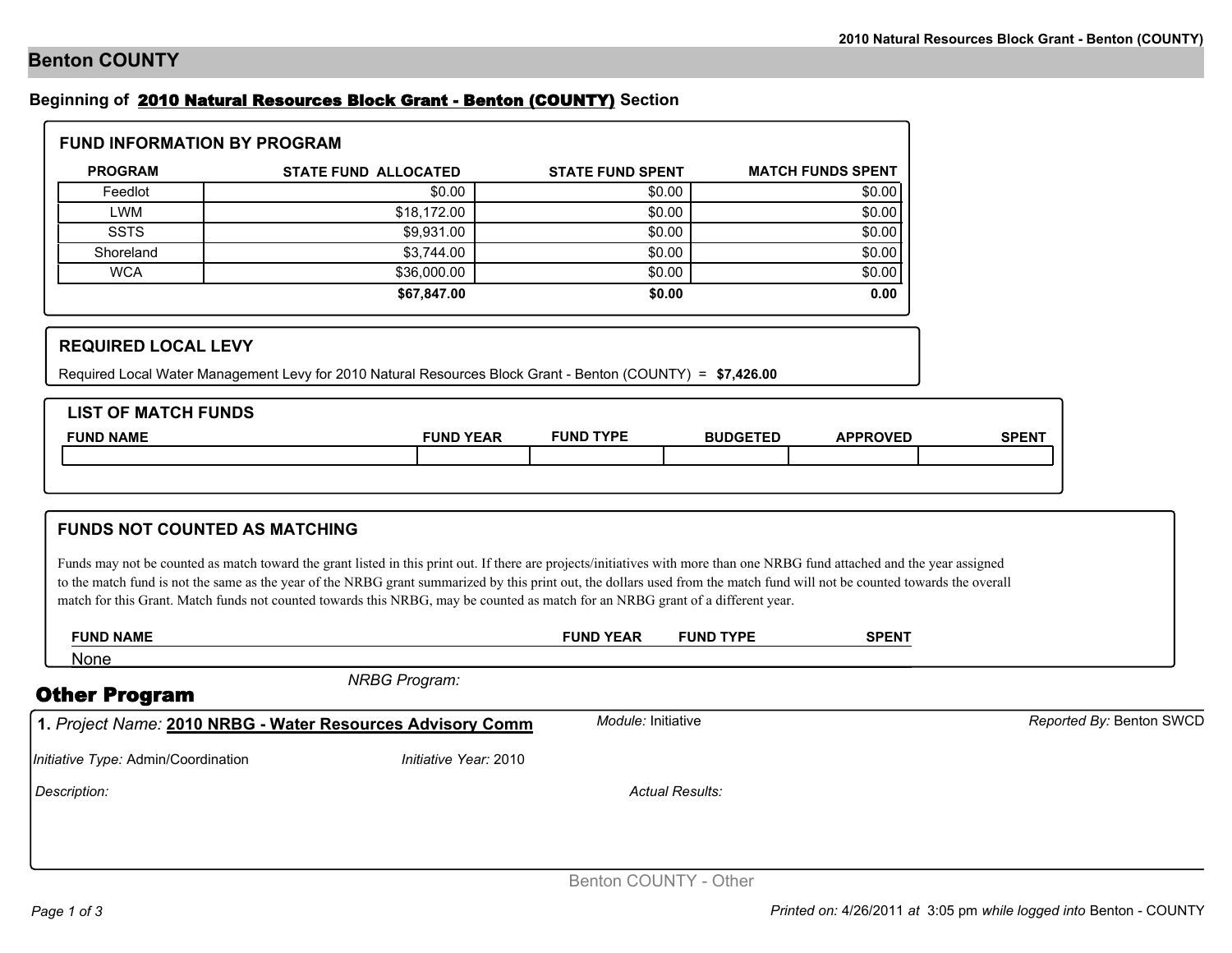## **Benton COUNTY**

## **Beginning of** 2010 Natural Resources Block Grant - Benton (COUNTY) **Section**

| <b>FUND INFORMATION BY PROGRAM</b> |                             |                         |                          |  |  |  |
|------------------------------------|-----------------------------|-------------------------|--------------------------|--|--|--|
| <b>PROGRAM</b>                     | <b>STATE FUND ALLOCATED</b> | <b>STATE FUND SPENT</b> | <b>MATCH FUNDS SPENT</b> |  |  |  |
| Feedlot                            | \$0.00                      | \$0.00                  | \$0.00                   |  |  |  |
| <b>LWM</b>                         | \$18,172.00                 | \$0.00                  | \$0.00                   |  |  |  |
| <b>SSTS</b>                        | \$9,931.00                  | \$0.00                  | \$0.00                   |  |  |  |
| Shoreland                          | \$3,744.00                  | \$0.00                  | \$0.00                   |  |  |  |
| <b>WCA</b>                         | \$36,000.00                 | \$0.00                  | \$0.00                   |  |  |  |
|                                    | \$67,847.00                 | \$0.00                  | 0.00                     |  |  |  |

## **REQUIRED LOCAL LEVY**

Required Local Water Management Levy for 2010 Natural Resources Block Grant - Benton (COUNTY) = **\$7,426.00**

| <b>LIST OF MATCH FUNDS</b> |                  |                  |                 |                 |              |
|----------------------------|------------------|------------------|-----------------|-----------------|--------------|
| <b>FUND NAME</b>           | <b>FUND YEAR</b> | <b>FUND TYPE</b> | <b>BUDGETED</b> | <b>APPROVED</b> | <b>SPENT</b> |
|                            |                  |                  |                 |                 |              |
|                            |                  |                  |                 |                 |              |

| <b>FUNDS NOT COUNTED AS MATCHING</b>                                                                                                                                                                                                                                                                                                                                                                                                                                                        |                       |                  |              |                          |
|---------------------------------------------------------------------------------------------------------------------------------------------------------------------------------------------------------------------------------------------------------------------------------------------------------------------------------------------------------------------------------------------------------------------------------------------------------------------------------------------|-----------------------|------------------|--------------|--------------------------|
| Funds may not be counted as match toward the grant listed in this print out. If there are projects/initiatives with more than one NRBG fund attached and the year assigned<br>to the match fund is not the same as the year of the NRBG grant summarized by this print out, the dollars used from the match fund will not be counted towards the overall<br>match for this Grant. Match funds not counted towards this NRBG, may be counted as match for an NRBG grant of a different year. |                       |                  |              |                          |
| <b>FUND NAME</b>                                                                                                                                                                                                                                                                                                                                                                                                                                                                            | <b>FUND YEAR</b>      | <b>FUND TYPE</b> | <b>SPENT</b> |                          |
| None                                                                                                                                                                                                                                                                                                                                                                                                                                                                                        |                       |                  |              |                          |
| <b>NRBG Program:</b><br><b>Other Program</b>                                                                                                                                                                                                                                                                                                                                                                                                                                                |                       |                  |              |                          |
| 1. Project Name: 2010 NRBG - Water Resources Advisory Comm                                                                                                                                                                                                                                                                                                                                                                                                                                  | Module: Initiative    |                  |              | Reported By: Benton SWCD |
| Initiative Type: Admin/Coordination                                                                                                                                                                                                                                                                                                                                                                                                                                                         | Initiative Year: 2010 |                  |              |                          |

*Description: Actual Results:*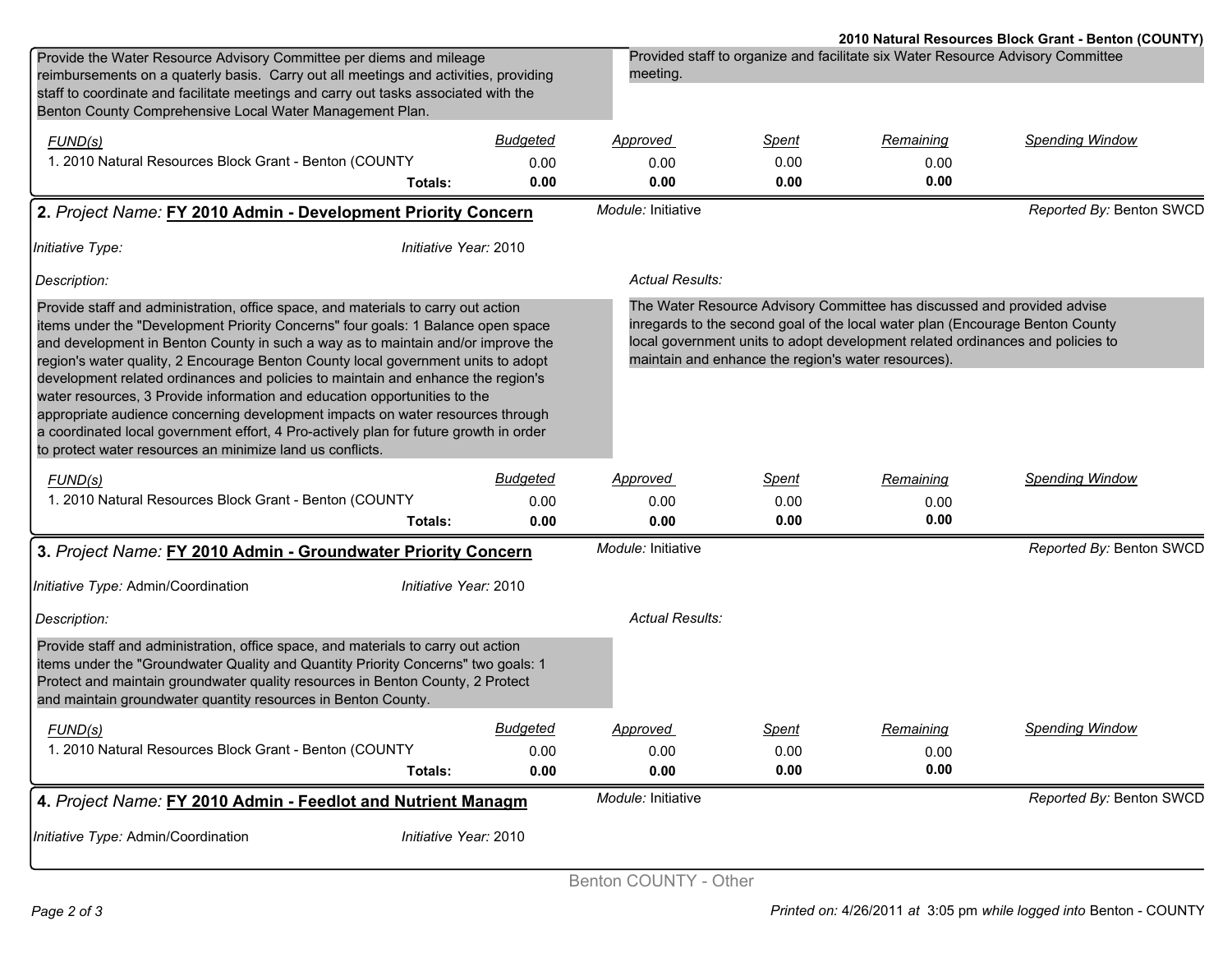|                                                                                                                                                                                                                                                                                                                                                                                                                                    |                 |                                                                                                                                                                                                                                                                                                   |              |                                                                                 | 2010 Natural Resources Block Grant - Benton (COUNTY) |
|------------------------------------------------------------------------------------------------------------------------------------------------------------------------------------------------------------------------------------------------------------------------------------------------------------------------------------------------------------------------------------------------------------------------------------|-----------------|---------------------------------------------------------------------------------------------------------------------------------------------------------------------------------------------------------------------------------------------------------------------------------------------------|--------------|---------------------------------------------------------------------------------|------------------------------------------------------|
| Provide the Water Resource Advisory Committee per diems and mileage<br>reimbursements on a quaterly basis. Carry out all meetings and activities, providing                                                                                                                                                                                                                                                                        |                 | meeting.                                                                                                                                                                                                                                                                                          |              | Provided staff to organize and facilitate six Water Resource Advisory Committee |                                                      |
| staff to coordinate and facilitate meetings and carry out tasks associated with the<br>Benton County Comprehensive Local Water Management Plan.                                                                                                                                                                                                                                                                                    |                 |                                                                                                                                                                                                                                                                                                   |              |                                                                                 |                                                      |
| FUND(s)                                                                                                                                                                                                                                                                                                                                                                                                                            | <b>Budgeted</b> | <u>Approved</u>                                                                                                                                                                                                                                                                                   | Spent        | Remaining                                                                       | <b>Spending Window</b>                               |
| 1. 2010 Natural Resources Block Grant - Benton (COUNTY                                                                                                                                                                                                                                                                                                                                                                             | 0.00            | 0.00                                                                                                                                                                                                                                                                                              | 0.00         | 0.00                                                                            |                                                      |
| Totals:                                                                                                                                                                                                                                                                                                                                                                                                                            | 0.00            | 0.00                                                                                                                                                                                                                                                                                              | 0.00         | 0.00                                                                            |                                                      |
| 2. Project Name: FY 2010 Admin - Development Priority Concern                                                                                                                                                                                                                                                                                                                                                                      |                 | Module: Initiative                                                                                                                                                                                                                                                                                |              |                                                                                 | Reported By: Benton SWCD                             |
| Initiative Year: 2010<br>Initiative Type:                                                                                                                                                                                                                                                                                                                                                                                          |                 |                                                                                                                                                                                                                                                                                                   |              |                                                                                 |                                                      |
| Description:                                                                                                                                                                                                                                                                                                                                                                                                                       |                 | <b>Actual Results:</b>                                                                                                                                                                                                                                                                            |              |                                                                                 |                                                      |
| Provide staff and administration, office space, and materials to carry out action<br>items under the "Development Priority Concerns" four goals: 1 Balance open space<br>and development in Benton County in such a way as to maintain and/or improve the<br>region's water quality, 2 Encourage Benton County local government units to adopt<br>development related ordinances and policies to maintain and enhance the region's |                 | The Water Resource Advisory Committee has discussed and provided advise<br>inregards to the second goal of the local water plan (Encourage Benton County<br>local government units to adopt development related ordinances and policies to<br>maintain and enhance the region's water resources). |              |                                                                                 |                                                      |
| water resources, 3 Provide information and education opportunities to the<br>appropriate audience concerning development impacts on water resources through<br>a coordinated local government effort, 4 Pro-actively plan for future growth in order<br>to protect water resources an minimize land us conflicts.                                                                                                                  |                 |                                                                                                                                                                                                                                                                                                   |              |                                                                                 |                                                      |
| FUND(s)                                                                                                                                                                                                                                                                                                                                                                                                                            | Budgeted        | Approved                                                                                                                                                                                                                                                                                          | Spent        | Remaining                                                                       | <b>Spending Window</b>                               |
| 1. 2010 Natural Resources Block Grant - Benton (COUNTY                                                                                                                                                                                                                                                                                                                                                                             | 0.00            | 0.00                                                                                                                                                                                                                                                                                              | 0.00         | 0.00                                                                            |                                                      |
| Totals:                                                                                                                                                                                                                                                                                                                                                                                                                            | 0.00            | 0.00                                                                                                                                                                                                                                                                                              | 0.00         | 0.00                                                                            |                                                      |
| 3. Project Name: FY 2010 Admin - Groundwater Priority Concern                                                                                                                                                                                                                                                                                                                                                                      |                 | Module: Initiative                                                                                                                                                                                                                                                                                |              |                                                                                 | Reported By: Benton SWCD                             |
| Initiative Type: Admin/Coordination<br>Initiative Year: 2010                                                                                                                                                                                                                                                                                                                                                                       |                 |                                                                                                                                                                                                                                                                                                   |              |                                                                                 |                                                      |
| Description:                                                                                                                                                                                                                                                                                                                                                                                                                       |                 | Actual Results:                                                                                                                                                                                                                                                                                   |              |                                                                                 |                                                      |
| Provide staff and administration, office space, and materials to carry out action<br>items under the "Groundwater Quality and Quantity Priority Concerns" two goals: 1<br>Protect and maintain groundwater quality resources in Benton County, 2 Protect<br>and maintain groundwater quantity resources in Benton County.                                                                                                          |                 |                                                                                                                                                                                                                                                                                                   |              |                                                                                 |                                                      |
| FUND(s)                                                                                                                                                                                                                                                                                                                                                                                                                            | <b>Budgeted</b> | <u>Approvea</u>                                                                                                                                                                                                                                                                                   | <b>Spent</b> | <u>Remaining</u>                                                                | <b>Spending Window</b>                               |
| 1. 2010 Natural Resources Block Grant - Benton (COUNTY                                                                                                                                                                                                                                                                                                                                                                             | 0.00            | 0.00                                                                                                                                                                                                                                                                                              | 0.00         | 0.00                                                                            |                                                      |
| Totals:                                                                                                                                                                                                                                                                                                                                                                                                                            | 0.00            | 0.00                                                                                                                                                                                                                                                                                              | 0.00         | 0.00                                                                            |                                                      |
| 4. Project Name: FY 2010 Admin - Feedlot and Nutrient Managm                                                                                                                                                                                                                                                                                                                                                                       |                 | Module: Initiative                                                                                                                                                                                                                                                                                |              |                                                                                 | Reported By: Benton SWCD                             |
| Initiative Type: Admin/Coordination<br>Initiative Year: 2010                                                                                                                                                                                                                                                                                                                                                                       |                 |                                                                                                                                                                                                                                                                                                   |              |                                                                                 |                                                      |